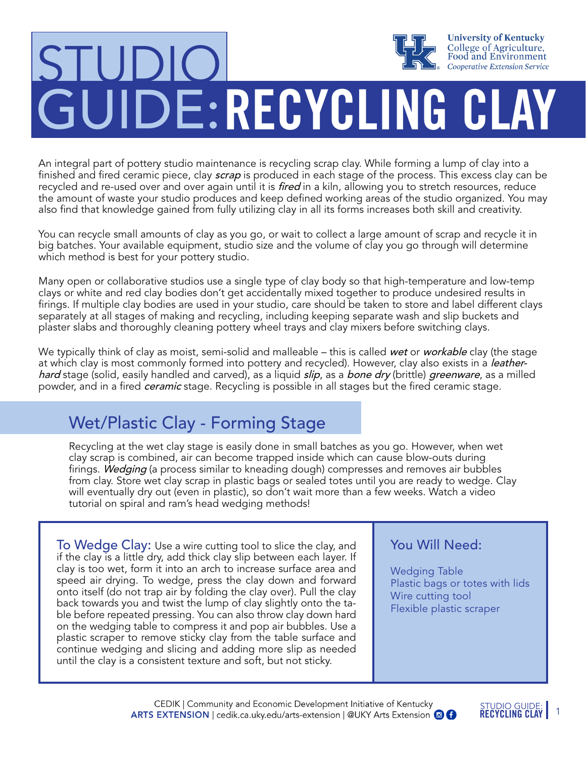# **University of Kentucky** College of Agriculture,<br>Food and Environment STUDIO **Cooperative Extension Service** GUIDE:RECYCLING CLAY

An integral part of pottery studio maintenance is recycling scrap clay. While forming a lump of clay into a finished and fired ceramic piece, clay *scrap* is produced in each stage of the process. This excess clay can be recycled and re-used over and over again until it is fired in a kiln, allowing you to stretch resources, reduce the amount of waste your studio produces and keep defined working areas of the studio organized. You may also find that knowledge gained from fully utilizing clay in all its forms increases both skill and creativity.

You can recycle small amounts of clay as you go, or wait to collect a large amount of scrap and recycle it in big batches. Your available equipment, studio size and the volume of clay you go through will determine which method is best for your pottery studio.

Many open or collaborative studios use a single type of clay body so that high-temperature and low-temp clays or white and red clay bodies don't get accidentally mixed together to produce undesired results in firings. If multiple clay bodies are used in your studio, care should be taken to store and label different clays separately at all stages of making and recycling, including keeping separate wash and slip buckets and plaster slabs and thoroughly cleaning pottery wheel trays and clay mixers before switching clays.

We typically think of clay as moist, semi-solid and malleable – this is called wet or workable clay (the stage at which clay is most commonly formed into pottery and recycled). However, clay also exists in a leatherhard stage (solid, easily handled and carved), as a liquid *slip*, as a bone dry (brittle) greenware, as a milled powder, and in a fired *ceramic* stage. Recycling is possible in all stages but the fired ceramic stage.

## Wet/Plastic Clay - Forming Stage

Recycling at the wet clay stage is easily done in small batches as you go. However, when wet clay scrap is combined, air can become trapped inside which can cause blow-outs during firings. Wedging (a process similar to kneading dough) compresses and removes air bubbles from clay. Store wet clay scrap in plastic bags or sealed totes until you are ready to wedge. Clay will eventually dry out (even in plastic), so don't wait more than a few weeks. Watch a video tutorial on spiral and ram's head wedging methods!

To Wedge Clay: Use a wire cutting tool to slice the clay, and if the clay is a little dry, add thick clay slip between each layer. If clay is too wet, form it into an arch to increase surface area and speed air drying. To wedge, press the clay down and forward onto itself (do not trap air by folding the clay over). Pull the clay back towards you and twist the lump of clay slightly onto the table before repeated pressing. You can also throw clay down hard on the wedging table to compress it and pop air bubbles. Use a plastic scraper to remove sticky clay from the table surface and continue wedging and slicing and adding more slip as needed until the clay is a consistent texture and soft, but not sticky.

#### You Will Need:

Wedging Table Plastic bags or totes with lids Wire cutting tool Flexible plastic scraper

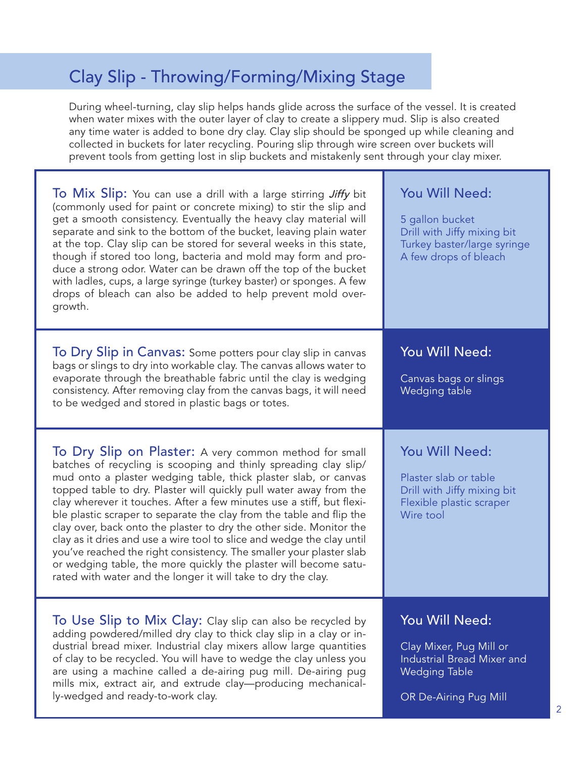## Clay Slip - Throwing/Forming/Mixing Stage

During wheel-turning, clay slip helps hands glide across the surface of the vessel. It is created when water mixes with the outer layer of clay to create a slippery mud. Slip is also created any time water is added to bone dry clay. Clay slip should be sponged up while cleaning and collected in buckets for later recycling. Pouring slip through wire screen over buckets will prevent tools from getting lost in slip buckets and mistakenly sent through your clay mixer.

| To Mix Slip: You can use a drill with a large stirring Jiffy bit<br>(commonly used for paint or concrete mixing) to stir the slip and<br>get a smooth consistency. Eventually the heavy clay material will<br>separate and sink to the bottom of the bucket, leaving plain water<br>at the top. Clay slip can be stored for several weeks in this state,<br>though if stored too long, bacteria and mold may form and pro-<br>duce a strong odor. Water can be drawn off the top of the bucket<br>with ladles, cups, a large syringe (turkey baster) or sponges. A few<br>drops of bleach can also be added to help prevent mold over-<br>growth.                                                                                                                                 | You Will Need:<br>5 gallon bucket<br>Drill with Jiffy mixing bit<br>Turkey baster/large syringe<br>A few drops of bleach        |
|-----------------------------------------------------------------------------------------------------------------------------------------------------------------------------------------------------------------------------------------------------------------------------------------------------------------------------------------------------------------------------------------------------------------------------------------------------------------------------------------------------------------------------------------------------------------------------------------------------------------------------------------------------------------------------------------------------------------------------------------------------------------------------------|---------------------------------------------------------------------------------------------------------------------------------|
| To Dry Slip in Canvas: Some potters pour clay slip in canvas<br>bags or slings to dry into workable clay. The canvas allows water to<br>evaporate through the breathable fabric until the clay is wedging<br>consistency. After removing clay from the canvas bags, it will need<br>to be wedged and stored in plastic bags or totes.                                                                                                                                                                                                                                                                                                                                                                                                                                             | You Will Need:<br>Canvas bags or slings<br>Wedging table                                                                        |
| To Dry Slip on Plaster: A very common method for small<br>batches of recycling is scooping and thinly spreading clay slip/<br>mud onto a plaster wedging table, thick plaster slab, or canvas<br>topped table to dry. Plaster will quickly pull water away from the<br>clay wherever it touches. After a few minutes use a stiff, but flexi-<br>ble plastic scraper to separate the clay from the table and flip the<br>clay over, back onto the plaster to dry the other side. Monitor the<br>clay as it dries and use a wire tool to slice and wedge the clay until<br>you've reached the right consistency. The smaller your plaster slab<br>or wedging table, the more quickly the plaster will become satu-<br>rated with water and the longer it will take to dry the clay. | You Will Need:<br>Plaster slab or table<br>Drill with Jiffy mixing bit<br>Flexible plastic scraper<br>Wire tool                 |
| To Use Slip to Mix Clay: Clay slip can also be recycled by<br>adding powdered/milled dry clay to thick clay slip in a clay or in-<br>dustrial bread mixer. Industrial clay mixers allow large quantities<br>of clay to be recycled. You will have to wedge the clay unless you<br>are using a machine called a de-airing pug mill. De-airing pug<br>mills mix, extract air, and extrude clay-producing mechanical-<br>ly-wedged and ready-to-work clay.                                                                                                                                                                                                                                                                                                                           | You Will Need:<br>Clay Mixer, Pug Mill or<br><b>Industrial Bread Mixer and</b><br><b>Wedging Table</b><br>OR De-Airing Pug Mill |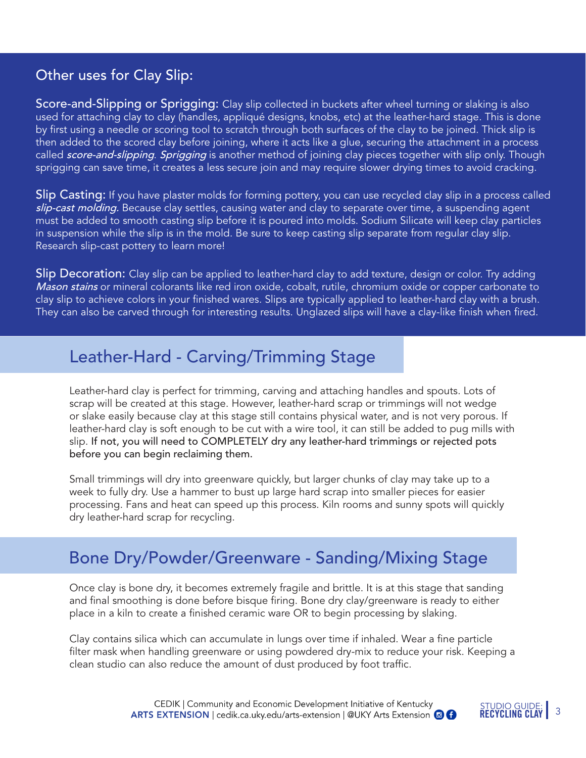#### Other uses for Clay Slip:

Score-and-Slipping or Sprigging: Clay slip collected in buckets after wheel turning or slaking is also used for attaching clay to clay (handles, appliqué designs, knobs, etc) at the leather-hard stage. This is done by first using a needle or scoring tool to scratch through both surfaces of the clay to be joined. Thick slip is then added to the scored clay before joining, where it acts like a glue, securing the attachment in a process called score-and-slipping. Sprigging is another method of joining clay pieces together with slip only. Though sprigging can save time, it creates a less secure join and may require slower drying times to avoid cracking.

Slip Casting: If you have plaster molds for forming pottery, you can use recycled clay slip in a process called slip-cast molding. Because clay settles, causing water and clay to separate over time, a suspending agent must be added to smooth casting slip before it is poured into molds. Sodium Silicate will keep clay particles in suspension while the slip is in the mold. Be sure to keep casting slip separate from regular clay slip. Research slip-cast pottery to learn more!

Slip Decoration: Clay slip can be applied to leather-hard clay to add texture, design or color. Try adding Mason stains or mineral colorants like red iron oxide, cobalt, rutile, chromium oxide or copper carbonate to clay slip to achieve colors in your finished wares. Slips are typically applied to leather-hard clay with a brush. They can also be carved through for interesting results. Unglazed slips will have a clay-like finish when fired.

#### Leather-Hard - Carving/Trimming Stage

Leather-hard clay is perfect for trimming, carving and attaching handles and spouts. Lots of scrap will be created at this stage. However, leather-hard scrap or trimmings will not wedge or slake easily because clay at this stage still contains physical water, and is not very porous. If leather-hard clay is soft enough to be cut with a wire tool, it can still be added to pug mills with slip. If not, you will need to COMPLETELY dry any leather-hard trimmings or rejected pots before you can begin reclaiming them.

Small trimmings will dry into greenware quickly, but larger chunks of clay may take up to a week to fully dry. Use a hammer to bust up large hard scrap into smaller pieces for easier processing. Fans and heat can speed up this process. Kiln rooms and sunny spots will quickly dry leather-hard scrap for recycling.

### Bone Dry/Powder/Greenware - Sanding/Mixing Stage

Once clay is bone dry, it becomes extremely fragile and brittle. It is at this stage that sanding and final smoothing is done before bisque firing. Bone dry clay/greenware is ready to either place in a kiln to create a finished ceramic ware OR to begin processing by slaking.

Clay contains silica which can accumulate in lungs over time if inhaled. Wear a fine particle filter mask when handling greenware or using powdered dry-mix to reduce your risk. Keeping a clean studio can also reduce the amount of dust produced by foot traffic.

> CEDIK | Community and Economic Development Initiative of Kentucky **ARTS EXTENSION** | cedik.ca.uky.edu/arts-extension | @UKY Arts Extension @ **@**

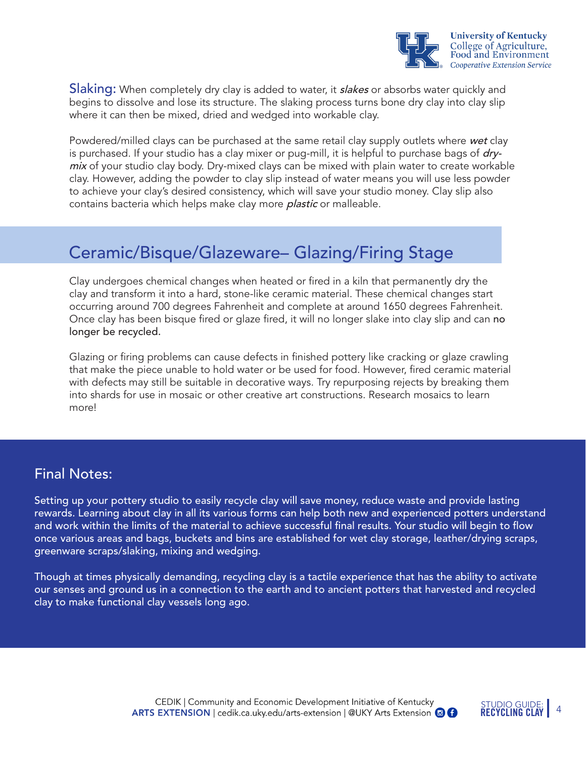

**Slaking:** When completely dry clay is added to water, it **slakes** or absorbs water quickly and begins to dissolve and lose its structure. The slaking process turns bone dry clay into clay slip where it can then be mixed, dried and wedged into workable clay.

Powdered/milled clays can be purchased at the same retail clay supply outlets where wet clay is purchased. If your studio has a clay mixer or pug-mill, it is helpful to purchase bags of drymix of your studio clay body. Dry-mixed clays can be mixed with plain water to create workable clay. However, adding the powder to clay slip instead of water means you will use less powder to achieve your clay's desired consistency, which will save your studio money. Clay slip also contains bacteria which helps make clay more *plastic* or malleable.

### Ceramic/Bisque/Glazeware– Glazing/Firing Stage

Clay undergoes chemical changes when heated or fired in a kiln that permanently dry the clay and transform it into a hard, stone-like ceramic material. These chemical changes start occurring around 700 degrees Fahrenheit and complete at around 1650 degrees Fahrenheit. Once clay has been bisque fired or glaze fired, it will no longer slake into clay slip and can no longer be recycled.

Glazing or firing problems can cause defects in finished pottery like cracking or glaze crawling that make the piece unable to hold water or be used for food. However, fired ceramic material with defects may still be suitable in decorative ways. Try repurposing rejects by breaking them into shards for use in mosaic or other creative art constructions. Research mosaics to learn more!

#### Final Notes:

Setting up your pottery studio to easily recycle clay will save money, reduce waste and provide lasting rewards. Learning about clay in all its various forms can help both new and experienced potters understand and work within the limits of the material to achieve successful final results. Your studio will begin to flow once various areas and bags, buckets and bins are established for wet clay storage, leather/drying scraps, greenware scraps/slaking, mixing and wedging.

Though at times physically demanding, recycling clay is a tactile experience that has the ability to activate our senses and ground us in a connection to the earth and to ancient potters that harvested and recycled clay to make functional clay vessels long ago.